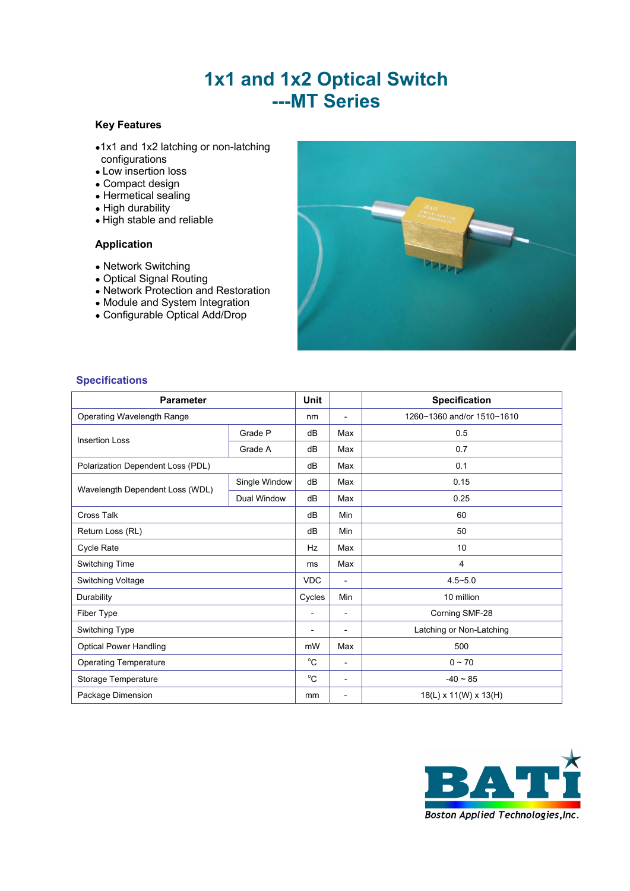# **1x1 and 1x2 Optical Switch ---MT Series**

## **Key Features**

- •1x1 and 1x2 latching or non-latching configurations
- Low insertion loss
- Compact design
- Hermetical sealing
- High durability
- High stable and reliable

### **Application**

- Network Switching
- Optical Signal Routing
- Network Protection and Restoration
- Module and System Integration
- Configurable Optical Add/Drop



### **Specifications**

| <b>Parameter</b>                  |               |                             |                          | <b>Specification</b>       |  |
|-----------------------------------|---------------|-----------------------------|--------------------------|----------------------------|--|
| Operating Wavelength Range        |               | nm                          | $\overline{a}$           | 1260~1360 and/or 1510~1610 |  |
| <b>Insertion Loss</b>             | Grade P       | dB                          | Max                      | 0.5                        |  |
|                                   | Grade A       | dB                          | Max                      | 0.7                        |  |
| Polarization Dependent Loss (PDL) |               | dB                          | Max                      | 0.1                        |  |
|                                   | Single Window | dB                          | Max                      | 0.15                       |  |
| Wavelength Dependent Loss (WDL)   | Dual Window   | dB                          | Max                      | 0.25                       |  |
| <b>Cross Talk</b>                 |               | dB                          | Min                      | 60                         |  |
| Return Loss (RL)                  |               | dB                          | Min                      | 50                         |  |
| Cycle Rate                        |               | Hz                          | Max                      | 10                         |  |
| Switching Time                    |               | ms                          | Max                      | 4                          |  |
| Switching Voltage                 |               | <b>VDC</b>                  | $\overline{\phantom{a}}$ | $4.5 - 5.0$                |  |
| Durability                        |               | 10 million<br>Cycles<br>Min |                          |                            |  |
| Fiber Type                        |               | $\overline{a}$              | $\overline{\phantom{a}}$ | Corning SMF-28             |  |
| Switching Type                    |               |                             | $\overline{\phantom{a}}$ | Latching or Non-Latching   |  |
| <b>Optical Power Handling</b>     |               | mW                          | Max                      | 500                        |  |
| <b>Operating Temperature</b>      | $^{\circ}C$   |                             | $\overline{\phantom{a}}$ | $0 - 70$                   |  |
| Storage Temperature               |               | $^{\circ}C$                 | $\overline{\phantom{a}}$ | $-40 \sim 85$              |  |
| Package Dimension                 |               | 18(L) x 11(W) x 13(H)<br>mm |                          |                            |  |